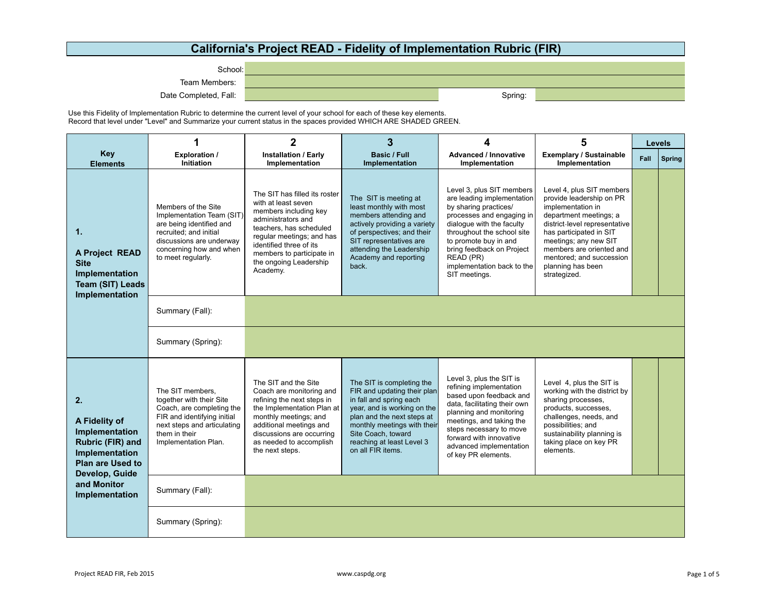## **California's Project READ - Fidelity of Implementation Rubric (FIR)**

School:

Team Members:

Date Completed, Fall: Spring: Spring: Spring: Spring: Spring: Spring: Spring: Spring: Spring: Spring: Spring: Spring: Spring: Spring: Spring: Spring: Spring: Spring: Spring: Spring: Spring: Spring: Spring: Spring: Spring:

Use this Fidelity of Implementation Rubric to determine the current level of your school for each of these key elements. Record that level under "Level" and Summarize your current status in the spaces provided WHICH ARE SHADED GREEN.

|                                                                                                                                                           | 1                                                                                                                                                                                   | $\overline{2}$                                                                                                                                                                                                                                            | 3                                                                                                                                                                                                                                                       |                                                                                                                                                                                                                                                                                            | 5                                                                                                                                                                                                                                                                                      |      | <b>Levels</b> |
|-----------------------------------------------------------------------------------------------------------------------------------------------------------|-------------------------------------------------------------------------------------------------------------------------------------------------------------------------------------|-----------------------------------------------------------------------------------------------------------------------------------------------------------------------------------------------------------------------------------------------------------|---------------------------------------------------------------------------------------------------------------------------------------------------------------------------------------------------------------------------------------------------------|--------------------------------------------------------------------------------------------------------------------------------------------------------------------------------------------------------------------------------------------------------------------------------------------|----------------------------------------------------------------------------------------------------------------------------------------------------------------------------------------------------------------------------------------------------------------------------------------|------|---------------|
| <b>Key</b><br><b>Elements</b>                                                                                                                             | <b>Exploration /</b><br>Initiation                                                                                                                                                  | <b>Installation / Early</b><br>Implementation                                                                                                                                                                                                             | Basic / Full<br>Implementation                                                                                                                                                                                                                          | <b>Advanced / Innovative</b><br>Implementation                                                                                                                                                                                                                                             | <b>Exemplary / Sustainable</b><br>Implementation                                                                                                                                                                                                                                       | Fall | Spring        |
| 1.<br>A Project READ<br><b>Site</b><br>Implementation<br><b>Team (SIT) Leads</b><br>Implementation                                                        | Members of the Site<br>Implementation Team (SIT)<br>are being identified and<br>recruited: and initial<br>discussions are underway<br>concerning how and when<br>to meet regularly. | The SIT has filled its roster<br>with at least seven<br>members including key<br>administrators and<br>teachers, has scheduled<br>regular meetings; and has<br>identified three of its<br>members to participate in<br>the ongoing Leadership<br>Academy. | The SIT is meeting at<br>least monthly with most<br>members attending and<br>actively providing a variety<br>of perspectives; and their<br>SIT representatives are<br>attending the Leadership<br>Academy and reporting<br>back.                        | Level 3, plus SIT members<br>are leading implementation<br>by sharing practices/<br>processes and engaging in<br>dialogue with the faculty<br>throughout the school site<br>to promote buy in and<br>bring feedback on Project<br>READ (PR)<br>implementation back to the<br>SIT meetings. | Level 4, plus SIT members<br>provide leadership on PR<br>implementation in<br>department meetings; a<br>district-level representative<br>has participated in SIT<br>meetings; any new SIT<br>members are oriented and<br>mentored: and succession<br>planning has been<br>strategized. |      |               |
|                                                                                                                                                           | Summary (Fall):                                                                                                                                                                     |                                                                                                                                                                                                                                                           |                                                                                                                                                                                                                                                         |                                                                                                                                                                                                                                                                                            |                                                                                                                                                                                                                                                                                        |      |               |
|                                                                                                                                                           | Summary (Spring):                                                                                                                                                                   |                                                                                                                                                                                                                                                           |                                                                                                                                                                                                                                                         |                                                                                                                                                                                                                                                                                            |                                                                                                                                                                                                                                                                                        |      |               |
| 2.<br>A Fidelity of<br>Implementation<br>Rubric (FIR) and<br>Implementation<br><b>Plan are Used to</b><br>Develop, Guide<br>and Monitor<br>Implementation | The SIT members.<br>together with their Site<br>Coach, are completing the<br>FIR and identifying initial<br>next steps and articulating<br>them in their<br>Implementation Plan.    | The SIT and the Site<br>Coach are monitoring and<br>refining the next steps in<br>the Implementation Plan at<br>monthly meetings; and<br>additional meetings and<br>discussions are occurring<br>as needed to accomplish<br>the next steps.               | The SIT is completing the<br>FIR and updating their plan<br>in fall and spring each<br>year, and is working on the<br>plan and the next steps at<br>monthly meetings with their<br>Site Coach, toward<br>reaching at least Level 3<br>on all FIR items. | Level 3, plus the SIT is<br>refining implementation<br>based upon feedback and<br>data, facilitating their own<br>planning and monitoring<br>meetings, and taking the<br>steps necessary to move<br>forward with innovative<br>advanced implementation<br>of key PR elements.              | Level 4, plus the SIT is<br>working with the district by<br>sharing processes,<br>products, successes,<br>challenges, needs, and<br>possibilities; and<br>sustainability planning is<br>taking place on key PR<br>elements.                                                            |      |               |
|                                                                                                                                                           | Summary (Fall):                                                                                                                                                                     |                                                                                                                                                                                                                                                           |                                                                                                                                                                                                                                                         |                                                                                                                                                                                                                                                                                            |                                                                                                                                                                                                                                                                                        |      |               |
|                                                                                                                                                           | Summary (Spring):                                                                                                                                                                   |                                                                                                                                                                                                                                                           |                                                                                                                                                                                                                                                         |                                                                                                                                                                                                                                                                                            |                                                                                                                                                                                                                                                                                        |      |               |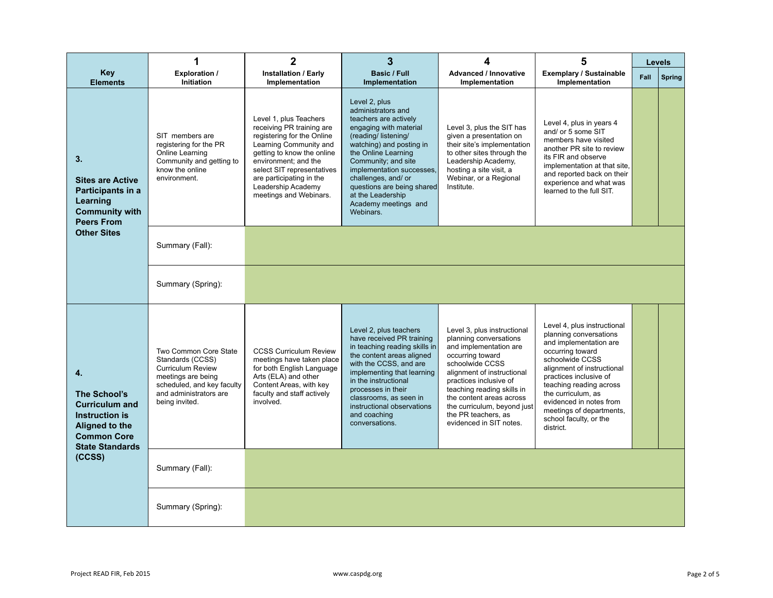|                                                                                                                                                  | 1                                                                                                                                                                     | $\mathbf{2}$                                                                                                                                                                                                                                                                | 3                                                                                                                                                                                                                                                                                                                                   | 4                                                                                                                                                                                                                                                                                                                         | 5                                                                                                                                                                                                                                                                                                                             | <b>Levels</b> |               |
|--------------------------------------------------------------------------------------------------------------------------------------------------|-----------------------------------------------------------------------------------------------------------------------------------------------------------------------|-----------------------------------------------------------------------------------------------------------------------------------------------------------------------------------------------------------------------------------------------------------------------------|-------------------------------------------------------------------------------------------------------------------------------------------------------------------------------------------------------------------------------------------------------------------------------------------------------------------------------------|---------------------------------------------------------------------------------------------------------------------------------------------------------------------------------------------------------------------------------------------------------------------------------------------------------------------------|-------------------------------------------------------------------------------------------------------------------------------------------------------------------------------------------------------------------------------------------------------------------------------------------------------------------------------|---------------|---------------|
| <b>Key</b><br><b>Elements</b>                                                                                                                    | <b>Exploration /</b><br>Initiation                                                                                                                                    | <b>Installation / Early</b><br>Implementation                                                                                                                                                                                                                               | <b>Basic / Full</b><br>Implementation                                                                                                                                                                                                                                                                                               | <b>Advanced / Innovative</b><br>Implementation                                                                                                                                                                                                                                                                            | <b>Exemplary / Sustainable</b><br>Implementation                                                                                                                                                                                                                                                                              | Fall          | <b>Spring</b> |
| 3.<br><b>Sites are Active</b><br>Participants in a<br>Learning<br><b>Community with</b><br><b>Peers From</b><br><b>Other Sites</b>               | SIT members are<br>registering for the PR<br>Online Learning<br>Community and getting to<br>know the online<br>environment.                                           | Level 1, plus Teachers<br>receiving PR training are<br>registering for the Online<br>Learning Community and<br>getting to know the online<br>environment; and the<br>select SIT representatives<br>are participating in the<br>Leadership Academy<br>meetings and Webinars. | Level 2, plus<br>administrators and<br>teachers are actively<br>engaging with material<br>(reading/listening/<br>watching) and posting in<br>the Online Learning<br>Community; and site<br>implementation successes,<br>challenges, and/ or<br>questions are being shared<br>at the Leadership<br>Academy meetings and<br>Webinars. | Level 3, plus the SIT has<br>given a presentation on<br>their site's implementation<br>to other sites through the<br>Leadership Academy,<br>hosting a site visit, a<br>Webinar, or a Regional<br>Institute.                                                                                                               | Level 4, plus in years 4<br>and/ or 5 some SIT<br>members have visited<br>another PR site to review<br>its FIR and observe<br>implementation at that site,<br>and reported back on their<br>experience and what was<br>learned to the full SIT.                                                                               |               |               |
|                                                                                                                                                  | Summary (Fall):                                                                                                                                                       |                                                                                                                                                                                                                                                                             |                                                                                                                                                                                                                                                                                                                                     |                                                                                                                                                                                                                                                                                                                           |                                                                                                                                                                                                                                                                                                                               |               |               |
|                                                                                                                                                  | Summary (Spring):                                                                                                                                                     |                                                                                                                                                                                                                                                                             |                                                                                                                                                                                                                                                                                                                                     |                                                                                                                                                                                                                                                                                                                           |                                                                                                                                                                                                                                                                                                                               |               |               |
| 4.<br>The School's<br><b>Curriculum and</b><br><b>Instruction is</b><br>Aligned to the<br><b>Common Core</b><br><b>State Standards</b><br>(CCSS) | Two Common Core State<br>Standards (CCSS)<br><b>Curriculum Review</b><br>meetings are being<br>scheduled, and key faculty<br>and administrators are<br>being invited. | <b>CCSS Curriculum Review</b><br>meetings have taken place<br>for both English Language<br>Arts (ELA) and other<br>Content Areas, with key<br>faculty and staff actively<br>involved.                                                                                       | Level 2, plus teachers<br>have received PR training<br>in teaching reading skills in<br>the content areas aligned<br>with the CCSS, and are<br>implementing that learning<br>in the instructional<br>processes in their<br>classrooms, as seen in<br>instructional observations<br>and coaching<br>conversations.                   | Level 3, plus instructional<br>planning conversations<br>and implementation are<br>occurring toward<br>schoolwide CCSS<br>alignment of instructional<br>practices inclusive of<br>teaching reading skills in<br>the content areas across<br>the curriculum, beyond just<br>the PR teachers, as<br>evidenced in SIT notes. | Level 4, plus instructional<br>planning conversations<br>and implementation are<br>occurring toward<br>schoolwide CCSS<br>alignment of instructional<br>practices inclusive of<br>teaching reading across<br>the curriculum, as<br>evidenced in notes from<br>meetings of departments.<br>school faculty, or the<br>district. |               |               |
|                                                                                                                                                  | Summary (Fall):                                                                                                                                                       |                                                                                                                                                                                                                                                                             |                                                                                                                                                                                                                                                                                                                                     |                                                                                                                                                                                                                                                                                                                           |                                                                                                                                                                                                                                                                                                                               |               |               |
|                                                                                                                                                  | Summary (Spring):                                                                                                                                                     |                                                                                                                                                                                                                                                                             |                                                                                                                                                                                                                                                                                                                                     |                                                                                                                                                                                                                                                                                                                           |                                                                                                                                                                                                                                                                                                                               |               |               |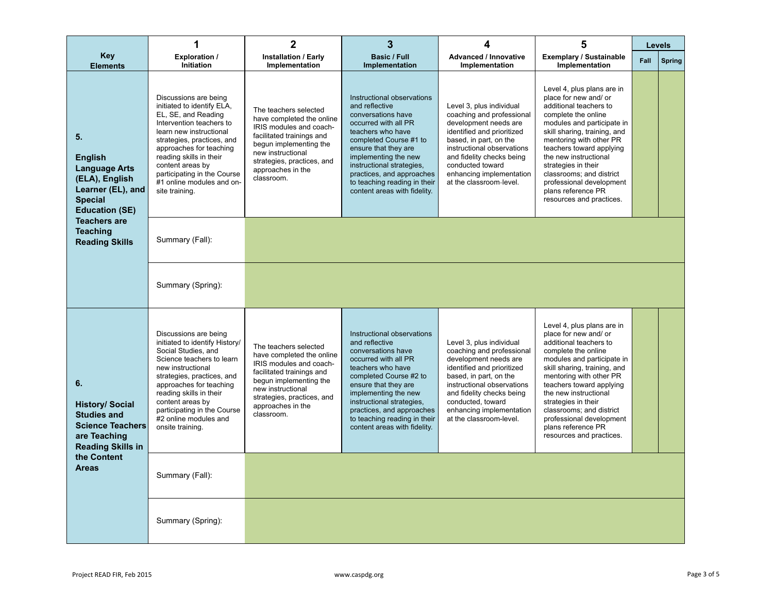|                                                                                                                                                                                                   | 1                                                                                                                                                                                                                                                                                                                       | $\mathbf{2}$                                                                                                                                                                                                               | 3                                                                                                                                                                                                                                                                                                                   | 4                                                                                                                                                                                                                                                                             | 5                                                                                                                                                                                                                                                                                                                                                                                   |      | Levels        |
|---------------------------------------------------------------------------------------------------------------------------------------------------------------------------------------------------|-------------------------------------------------------------------------------------------------------------------------------------------------------------------------------------------------------------------------------------------------------------------------------------------------------------------------|----------------------------------------------------------------------------------------------------------------------------------------------------------------------------------------------------------------------------|---------------------------------------------------------------------------------------------------------------------------------------------------------------------------------------------------------------------------------------------------------------------------------------------------------------------|-------------------------------------------------------------------------------------------------------------------------------------------------------------------------------------------------------------------------------------------------------------------------------|-------------------------------------------------------------------------------------------------------------------------------------------------------------------------------------------------------------------------------------------------------------------------------------------------------------------------------------------------------------------------------------|------|---------------|
| <b>Key</b><br><b>Elements</b>                                                                                                                                                                     | <b>Exploration /</b><br>Initiation                                                                                                                                                                                                                                                                                      | <b>Installation / Early</b><br>Implementation                                                                                                                                                                              | <b>Basic / Full</b><br>Implementation                                                                                                                                                                                                                                                                               | <b>Advanced / Innovative</b><br><b>Implementation</b>                                                                                                                                                                                                                         | <b>Exemplary / Sustainable</b><br>Implementation                                                                                                                                                                                                                                                                                                                                    | Fall | <b>Spring</b> |
| 5.<br><b>English</b><br><b>Language Arts</b><br>(ELA), English<br>Learner (EL), and<br><b>Special</b><br><b>Education (SE)</b><br><b>Teachers are</b><br><b>Teaching</b><br><b>Reading Skills</b> | Discussions are being<br>initiated to identify ELA,<br>EL, SE, and Reading<br>Intervention teachers to<br>learn new instructional<br>strategies, practices, and<br>approaches for teaching<br>reading skills in their<br>content areas by<br>participating in the Course<br>#1 online modules and on-<br>site training. | The teachers selected<br>have completed the online<br>IRIS modules and coach-<br>facilitated trainings and<br>begun implementing the<br>new instructional<br>strategies, practices, and<br>approaches in the<br>classroom. | Instructional observations<br>and reflective<br>conversations have<br>occurred with all PR<br>teachers who have<br>completed Course #1 to<br>ensure that they are<br>implementing the new<br>instructional strategies,<br>practices, and approaches<br>to teaching reading in their<br>content areas with fidelity. | Level 3, plus individual<br>coaching and professional<br>development needs are<br>identified and prioritized<br>based, in part, on the<br>instructional observations<br>and fidelity checks being<br>conducted toward<br>enhancing implementation<br>at the classroom-level.  | Level 4, plus plans are in<br>place for new and/ or<br>additional teachers to<br>complete the online<br>modules and participate in<br>skill sharing, training, and<br>mentoring with other PR<br>teachers toward applying<br>the new instructional<br>strategies in their<br>classrooms; and district<br>professional development<br>plans reference PR<br>resources and practices. |      |               |
|                                                                                                                                                                                                   | Summary (Fall):                                                                                                                                                                                                                                                                                                         |                                                                                                                                                                                                                            |                                                                                                                                                                                                                                                                                                                     |                                                                                                                                                                                                                                                                               |                                                                                                                                                                                                                                                                                                                                                                                     |      |               |
|                                                                                                                                                                                                   | Summary (Spring):                                                                                                                                                                                                                                                                                                       |                                                                                                                                                                                                                            |                                                                                                                                                                                                                                                                                                                     |                                                                                                                                                                                                                                                                               |                                                                                                                                                                                                                                                                                                                                                                                     |      |               |
| 6.<br><b>History/ Social</b><br><b>Studies and</b><br><b>Science Teachers</b><br>are Teaching<br><b>Reading Skills in</b><br>the Content<br><b>Areas</b>                                          | Discussions are being<br>initiated to identify History/<br>Social Studies, and<br>Science teachers to learn<br>new instructional<br>strategies, practices, and<br>approaches for teaching<br>reading skills in their<br>content areas by<br>participating in the Course<br>#2 online modules and<br>onsite training.    | The teachers selected<br>have completed the online<br>IRIS modules and coach-<br>facilitated trainings and<br>begun implementing the<br>new instructional<br>strategies, practices, and<br>approaches in the<br>classroom. | Instructional observations<br>and reflective<br>conversations have<br>occurred with all PR<br>teachers who have<br>completed Course #2 to<br>ensure that they are<br>implementing the new<br>instructional strategies,<br>practices, and approaches<br>to teaching reading in their<br>content areas with fidelity. | Level 3, plus individual<br>coaching and professional<br>development needs are<br>identified and prioritized<br>based, in part, on the<br>instructional observations<br>and fidelity checks being<br>conducted, toward<br>enhancing implementation<br>at the classroom-level. | Level 4, plus plans are in<br>place for new and/ or<br>additional teachers to<br>complete the online<br>modules and participate in<br>skill sharing, training, and<br>mentoring with other PR<br>teachers toward applying<br>the new instructional<br>strategies in their<br>classrooms; and district<br>professional development<br>plans reference PR<br>resources and practices. |      |               |
|                                                                                                                                                                                                   | Summary (Fall):                                                                                                                                                                                                                                                                                                         |                                                                                                                                                                                                                            |                                                                                                                                                                                                                                                                                                                     |                                                                                                                                                                                                                                                                               |                                                                                                                                                                                                                                                                                                                                                                                     |      |               |
|                                                                                                                                                                                                   | Summary (Spring):                                                                                                                                                                                                                                                                                                       |                                                                                                                                                                                                                            |                                                                                                                                                                                                                                                                                                                     |                                                                                                                                                                                                                                                                               |                                                                                                                                                                                                                                                                                                                                                                                     |      |               |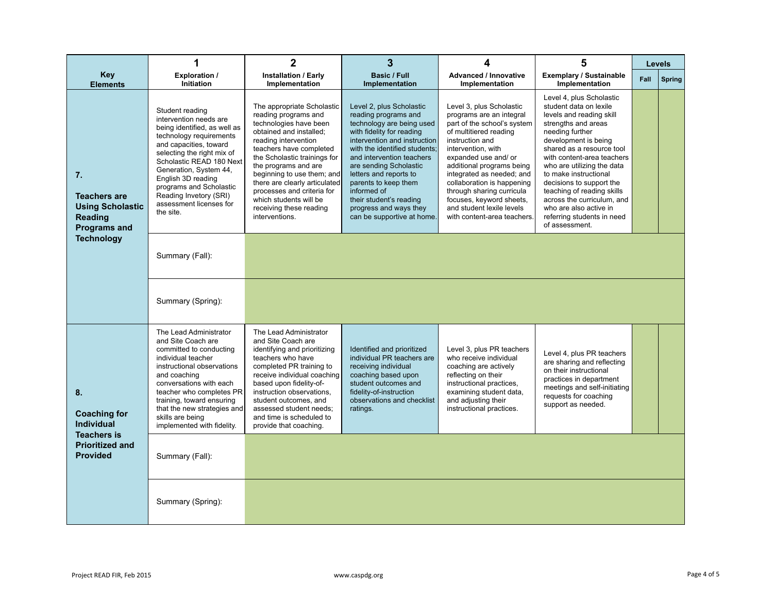|                                                                                                                   | 1                                                                                                                                                                                                                                                                                                                                     | $\mathbf 2$                                                                                                                                                                                                                                                                                                                                                                            | 3                                                                                                                                                                                                                                                                                                                                                                                      | 4                                                                                                                                                                                                                                                                                                                                                                                           | 5                                                                                                                                                                                                                                                                                                                                                                                                                                    |      | <b>Levels</b> |
|-------------------------------------------------------------------------------------------------------------------|---------------------------------------------------------------------------------------------------------------------------------------------------------------------------------------------------------------------------------------------------------------------------------------------------------------------------------------|----------------------------------------------------------------------------------------------------------------------------------------------------------------------------------------------------------------------------------------------------------------------------------------------------------------------------------------------------------------------------------------|----------------------------------------------------------------------------------------------------------------------------------------------------------------------------------------------------------------------------------------------------------------------------------------------------------------------------------------------------------------------------------------|---------------------------------------------------------------------------------------------------------------------------------------------------------------------------------------------------------------------------------------------------------------------------------------------------------------------------------------------------------------------------------------------|--------------------------------------------------------------------------------------------------------------------------------------------------------------------------------------------------------------------------------------------------------------------------------------------------------------------------------------------------------------------------------------------------------------------------------------|------|---------------|
| <b>Key</b><br><b>Elements</b>                                                                                     | <b>Exploration /</b><br>Initiation                                                                                                                                                                                                                                                                                                    | <b>Installation / Early</b><br>Implementation                                                                                                                                                                                                                                                                                                                                          | <b>Basic / Full</b><br>Implementation                                                                                                                                                                                                                                                                                                                                                  | <b>Advanced / Innovative</b><br>Implementation                                                                                                                                                                                                                                                                                                                                              | <b>Exemplary / Sustainable</b><br>Implementation                                                                                                                                                                                                                                                                                                                                                                                     | Fall | <b>Spring</b> |
| 7.<br>Teachers are<br><b>Using Scholastic</b><br><b>Reading</b><br><b>Programs and</b><br><b>Technology</b>       | Student reading<br>intervention needs are<br>being identified, as well as<br>technology requirements<br>and capacities, toward<br>selecting the right mix of<br>Scholastic READ 180 Next<br>Generation, System 44,<br>English 3D reading<br>programs and Scholastic<br>Reading Invetory (SRI)<br>assessment licenses for<br>the site. | The appropriate Scholastic<br>reading programs and<br>technologies have been<br>obtained and installed;<br>reading intervention<br>teachers have completed<br>the Scholastic trainings for<br>the programs and are<br>beginning to use them; and<br>there are clearly articulated<br>processes and criteria for<br>which students will be<br>receiving these reading<br>interventions. | Level 2, plus Scholastic<br>reading programs and<br>technology are being used<br>with fidelity for reading<br>intervention and instruction<br>with the identified students:<br>and intervention teachers<br>are sending Scholastic<br>letters and reports to<br>parents to keep them<br>informed of<br>their student's reading<br>progress and ways they<br>can be supportive at home. | Level 3, plus Scholastic<br>programs are an integral<br>part of the school's system<br>of multitiered reading<br>instruction and<br>intervention, with<br>expanded use and/ or<br>additional programs being<br>integrated as needed; and<br>collaboration is happening<br>through sharing curricula<br>focuses, keyword sheets,<br>and student lexile levels<br>with content-area teachers. | Level 4, plus Scholastic<br>student data on lexile<br>levels and reading skill<br>strengths and areas<br>needing further<br>development is being<br>shared as a resource tool<br>with content-area teachers<br>who are utilizing the data<br>to make instructional<br>decisions to support the<br>teaching of reading skills<br>across the curriculum, and<br>who are also active in<br>referring students in need<br>of assessment. |      |               |
|                                                                                                                   | Summary (Fall):                                                                                                                                                                                                                                                                                                                       |                                                                                                                                                                                                                                                                                                                                                                                        |                                                                                                                                                                                                                                                                                                                                                                                        |                                                                                                                                                                                                                                                                                                                                                                                             |                                                                                                                                                                                                                                                                                                                                                                                                                                      |      |               |
|                                                                                                                   | Summary (Spring):                                                                                                                                                                                                                                                                                                                     |                                                                                                                                                                                                                                                                                                                                                                                        |                                                                                                                                                                                                                                                                                                                                                                                        |                                                                                                                                                                                                                                                                                                                                                                                             |                                                                                                                                                                                                                                                                                                                                                                                                                                      |      |               |
| 8.<br><b>Coaching for</b><br><b>Individual</b><br><b>Teachers is</b><br><b>Prioritized and</b><br><b>Provided</b> | The Lead Administrator<br>and Site Coach are<br>committed to conducting<br>individual teacher<br>instructional observations<br>and coaching<br>conversations with each<br>teacher who completes PR<br>training, toward ensuring<br>that the new strategies and<br>skills are being<br>implemented with fidelity.                      | The Lead Administrator<br>and Site Coach are<br>identifying and prioritizing<br>teachers who have<br>completed PR training to<br>receive individual coaching<br>based upon fidelity-of-<br>instruction observations,<br>student outcomes, and<br>assessed student needs;<br>and time is scheduled to<br>provide that coaching.                                                         | Identified and prioritized<br>individual PR teachers are<br>receiving individual<br>coaching based upon<br>student outcomes and<br>fidelity-of-instruction<br>observations and checklist<br>ratings.                                                                                                                                                                                   | Level 3, plus PR teachers<br>who receive individual<br>coaching are actively<br>reflecting on their<br>instructional practices,<br>examining student data,<br>and adjusting their<br>instructional practices.                                                                                                                                                                               | Level 4, plus PR teachers<br>are sharing and reflecting<br>on their instructional<br>practices in department<br>meetings and self-initiating<br>requests for coaching<br>support as needed.                                                                                                                                                                                                                                          |      |               |
|                                                                                                                   | Summary (Fall):                                                                                                                                                                                                                                                                                                                       |                                                                                                                                                                                                                                                                                                                                                                                        |                                                                                                                                                                                                                                                                                                                                                                                        |                                                                                                                                                                                                                                                                                                                                                                                             |                                                                                                                                                                                                                                                                                                                                                                                                                                      |      |               |
|                                                                                                                   | Summary (Spring):                                                                                                                                                                                                                                                                                                                     |                                                                                                                                                                                                                                                                                                                                                                                        |                                                                                                                                                                                                                                                                                                                                                                                        |                                                                                                                                                                                                                                                                                                                                                                                             |                                                                                                                                                                                                                                                                                                                                                                                                                                      |      |               |